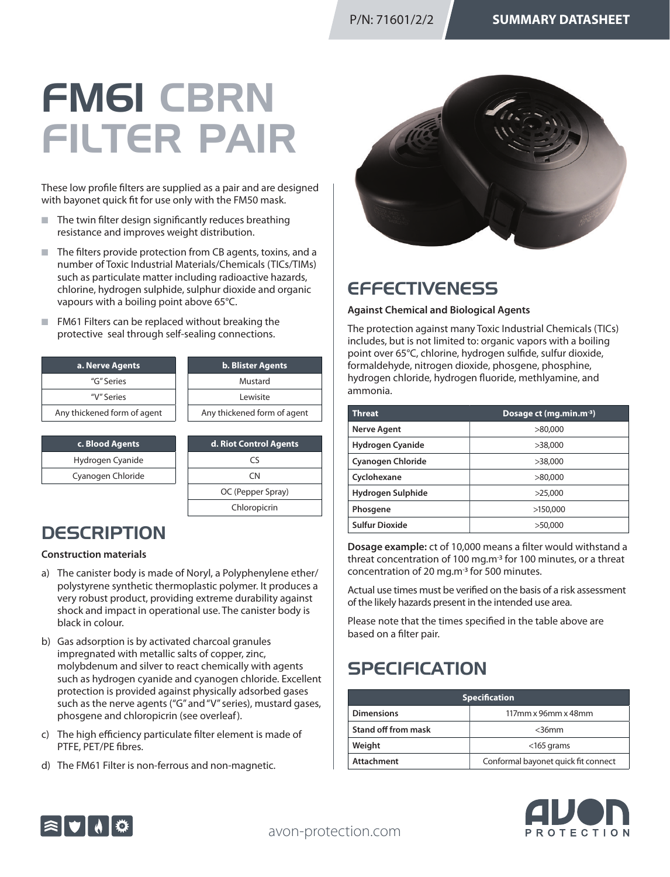# FM61 CBRN FILTER PAIR

These low profile filters are supplied as a pair and are designed with bayonet quick fit for use only with the FM50 mask.

- $\blacksquare$  The twin filter design significantly reduces breathing resistance and improves weight distribution.
- $\blacksquare$  The filters provide protection from CB agents, toxins, and a number of Toxic Industrial Materials/Chemicals (TICs/TIMs) such as particulate matter including radioactive hazards, chlorine, hydrogen sulphide, sulphur dioxide and organic vapours with a boiling point above 65°C.
- $\blacksquare$  FM61 Filters can be replaced without breaking the protective seal through self-sealing connections.

| a. Nerve Agents             |  |
|-----------------------------|--|
| "G" Series                  |  |
| "V" Series                  |  |
| Any thickened form of agent |  |

| c. Blood Agents   |
|-------------------|
| Hydrogen Cyanide  |
| Cyanogen Chloride |

| d. Riot Control Agents |  |
|------------------------|--|
| ٢٢                     |  |
| CΝ                     |  |
| OC (Pepper Spray)      |  |
| Chloropicrin           |  |

**b. Blister Agents** Mustard Lewisite Any thickened form of agent

# **DESCRIPTION**

#### **Construction materials**

- a) The canister body is made of Noryl, a Polyphenylene ether/ polystyrene synthetic thermoplastic polymer. It produces a very robust product, providing extreme durability against shock and impact in operational use. The canister body is black in colour.
- b) Gas adsorption is by activated charcoal granules impregnated with metallic salts of copper, zinc, molybdenum and silver to react chemically with agents such as hydrogen cyanide and cyanogen chloride. Excellent protection is provided against physically adsorbed gases such as the nerve agents ("G" and "V" series), mustard gases, phosgene and chloropicrin (see overleaf).
- c) The high efficiency particulate filter element is made of PTFE, PET/PE fibres.
- d) The FM61 Filter is non-ferrous and non-magnetic.



# **EFFECTIVENESS**

#### **Against Chemical and Biological Agents**

The protection against many Toxic Industrial Chemicals (TICs) includes, but is not limited to: organic vapors with a boiling point over 65°C, chlorine, hydrogen sulfide, sulfur dioxide, formaldehyde, nitrogen dioxide, phosgene, phosphine, hydrogen chloride, hydrogen fluoride, methlyamine, and ammonia.

| <b>Threat</b>            | Dosage ct (mg.min.m <sup>-3</sup> ) |
|--------------------------|-------------------------------------|
| <b>Nerve Agent</b>       | >80,000                             |
| Hydrogen Cyanide         | >38,000                             |
| <b>Cyanogen Chloride</b> | >38,000                             |
| Cyclohexane              | >80,000                             |
| Hydrogen Sulphide        | >25,000                             |
| Phosgene                 | >150,000                            |
| <b>Sulfur Dioxide</b>    | >50,000                             |

**Dosage example:** ct of 10,000 means a filter would withstand a threat concentration of 100 mg.m-3 for 100 minutes, or a threat concentration of 20 mg.m-3 for 500 minutes.

Actual use times must be verified on the basis of a risk assessment of the likely hazards present in the intended use area.

Please note that the times specified in the table above are based on a filter pair.

# **SPECIFICATION**

| <b>Specification</b> |                                     |  |  |
|----------------------|-------------------------------------|--|--|
| <b>Dimensions</b>    | 117mm x 96mm x 48mm                 |  |  |
| Stand off from mask  | $<$ 36 $mm$                         |  |  |
| Weight               | $<$ 165 grams                       |  |  |
| <b>Attachment</b>    | Conformal bayonet quick fit connect |  |  |